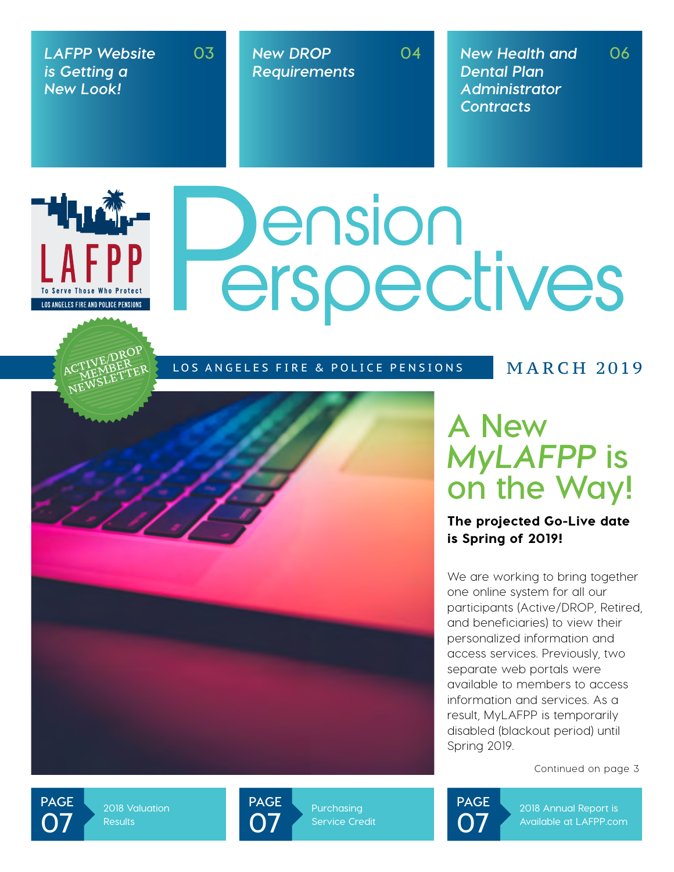*LAFPP Website is Getting a New Look!*

▔<sup>▙▌</sup>▚▙▓▚

**LOS ANGELES FIRE AND POLICE PENSIONS** 

**03**

*New DROP Requirements* **04** *New Health and Dental Plan Administrator Contracts* **06**

# **Dension<br>Perspectives**

LOS ANGELES FIRE & POLICE PENSIONS MARCH 2019

# **A New**  *MyLAFPP* **is on the Way!**

The projected Go-Live date is Spring of 2019!

We are working to bring together one online system for all our participants (Active/DROP, Retired, and beneficiaries) to view their personalized information and access services. Previously, two separate web portals were available to members to access information and services. As a result, MyLAFPP is temporarily disabled (blackout period) until Spring 2019.

Continued on page 3

**PAGE 07**

**2018 Valuation Results**



**Service Credit**



**2018 Annual Report is Available at LAFPP.com**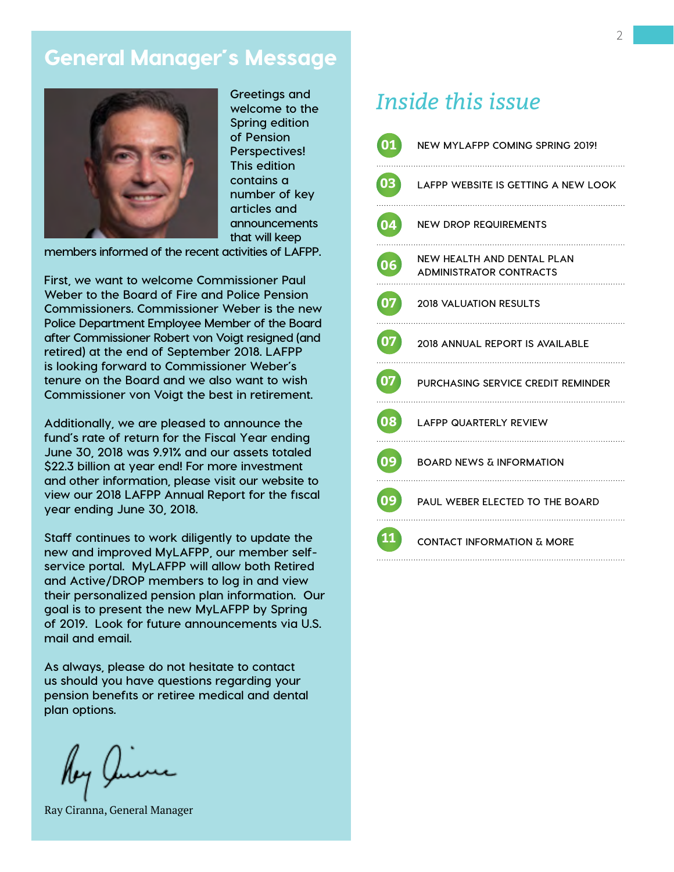## General Manager's Message



**Greetings and welcome to the Spring edition of Pension Perspectives! This edition contains a number of key articles and announcements that will keep** 

**members informed of the recent activities of LAFPP.** 

**First, we want to welcome Commissioner Paul Weber to the Board of Fire and Police Pension Commissioners. Commissioner Weber is the new Police Department Employee Member of the Board after Commissioner Robert von Voigt resigned (and retired) at the end of September 2018. LAFPP is looking forward to Commissioner Weber's tenure on the Board and we also want to wish Commissioner von Voigt the best in retirement.** 

**Additionally, we are pleased to announce the fund's rate of return for the Fiscal Year ending June 30, 2018 was 9.91% and our assets totaled \$22.3 billion at year end! For more investment and other information, please visit our website to view our 2018 LAFPP Annual Report for the fiscal year ending June 30, 2018.** 

**Staff continues to work diligently to update the new and improved MyLAFPP, our member selfservice portal. MyLAFPP will allow both Retired and Active/DROP members to log in and view their personalized pension plan information. Our goal is to present the new MyLAFPP by Spring of 2019. Look for future announcements via U.S. mail and email.**

**As always, please do not hesitate to contact us should you have questions regarding your pension benefits or retiree medical and dental plan options.**

lby Y

Ray Ciranna, General Manager

# *Inside this issue*

| 01 | NEW MYLAFPP COMING SPRING 2019!<br>.                         |
|----|--------------------------------------------------------------|
| 03 | LAFPP WEBSITE IS GETTING A NEW LOOK                          |
| 04 | <b>NEW DROP REQUIREMENTS</b>                                 |
| 06 | NEW HEALTH AND DENTAL PLAN<br><b>ADMINISTRATOR CONTRACTS</b> |
| 07 | <b>2018 VALUATION RESULTS</b>                                |
| 07 | 2018 ANNUAL REPORT IS AVAILABLE                              |
| 07 | PURCHASING SERVICE CREDIT REMINDER                           |
| 08 | <b>LAFPP QUARTERLY REVIEW</b>                                |
| 09 | <b>BOARD NEWS &amp; INFORMATION</b>                          |
| 09 | PAUL WEBER ELECTED TO THE BOARD                              |
| 11 | <b>CONTACT INFORMATION &amp; MORE</b>                        |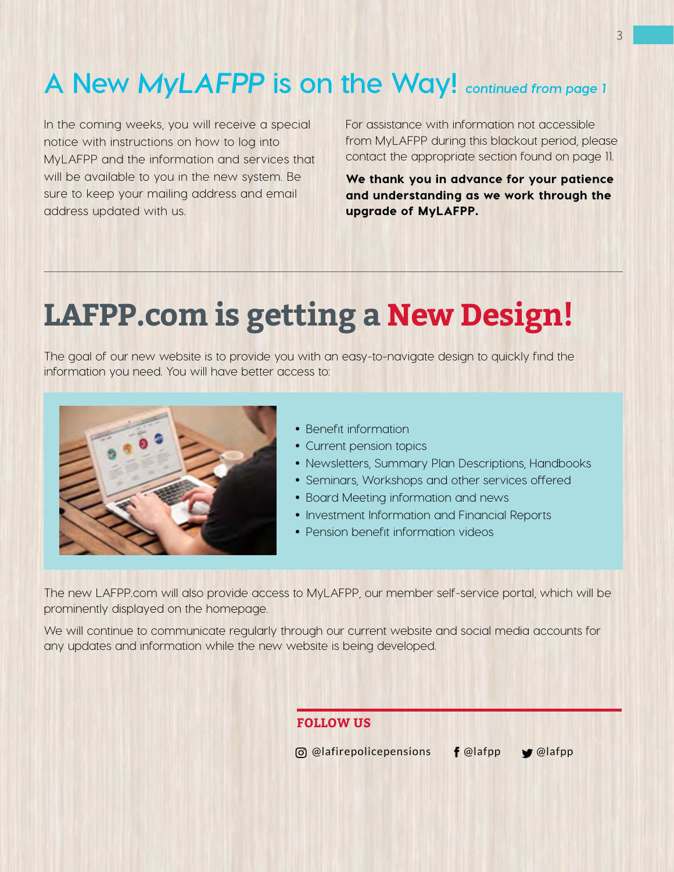# **A New** *MyLAFPP* **is on the Way!** *continued from page 1*

In the coming weeks, you will receive a special notice with instructions on how to log into MyLAFPP and the information and services that will be available to you in the new system. Be sure to keep your mailing address and email address updated with us.

For assistance with information not accessible from MyLAFPP during this blackout period, please contact the appropriate section found on page 11.

We thank you in advance for your patience and understanding as we work through the upgrade of MyLAFPP.

# **LAFPP.com is getting a New Design!**

The goal of our new website is to provide you with an easy-to-navigate design to quickly find the information you need. You will have better access to:



- Benefit information
- Current pension topics
- Newsletters, Summary Plan Descriptions, Handbooks
- Seminars, Workshops and other services offered
- Board Meeting information and news
- Investment Information and Financial Reports
- Pension benefit information videos

The new LAFPP.com will also provide access to MyLAFPP, our member self-service portal, which will be prominently displayed on the homepage.

We will continue to communicate regularly through our current website and social media accounts for any updates and information while the new website is being developed.

### **FOLLOW US**

 $\Box$  @lafirepolicepensions  $\Box$  **f** @lafpp  $\Box$  @lafpp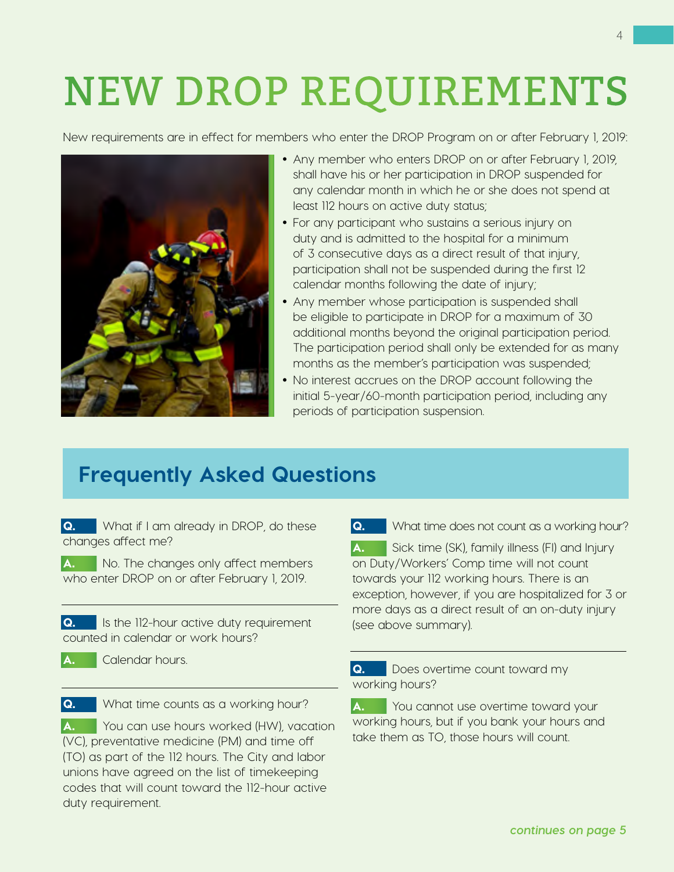# NEW DROP REQUIREMENTS

New requirements are in effect for members who enter the DROP Program on or after February 1, 2019:



- Any member who enters DROP on or after February 1, 2019, shall have his or her participation in DROP suspended for any calendar month in which he or she does not spend at least 112 hours on active duty status;
- For any participant who sustains a serious injury on duty and is admitted to the hospital for a minimum of 3 consecutive days as a direct result of that injury, participation shall not be suspended during the first 12 calendar months following the date of injury;
- Any member whose participation is suspended shall be eligible to participate in DROP for a maximum of 30 additional months beyond the original participation period. The participation period shall only be extended for as many months as the member's participation was suspended;
- No interest accrues on the DROP account following the initial 5-year/60-month participation period, including any periods of participation suspension.

# **Frequently Asked Questions**

Q. What if I am already in DROP, do these changes affect me?

A. No. The changes only affect members who enter DROP on or after February 1, 2019.

Q. Is the 112-hour active duty requirement counted in calendar or work hours?

A. Calendar hours.

Q. What time counts as a working hour?

A. You can use hours worked (HW), vacation (VC), preventative medicine (PM) and time off (TO) as part of the 112 hours. The City and labor unions have agreed on the list of timekeeping codes that will count toward the 112-hour active duty requirement.

**Q.** What time does not count as a working hour?

A. Sick time (SK), family illness (FI) and Injury on Duty/Workers' Comp time will not count towards your 112 working hours. There is an exception, however, if you are hospitalized for 3 or more days as a direct result of an on-duty injury (see above summary).

Q. Does overtime count toward my working hours?

A. You cannot use overtime toward your working hours, but if you bank your hours and take them as TO, those hours will count.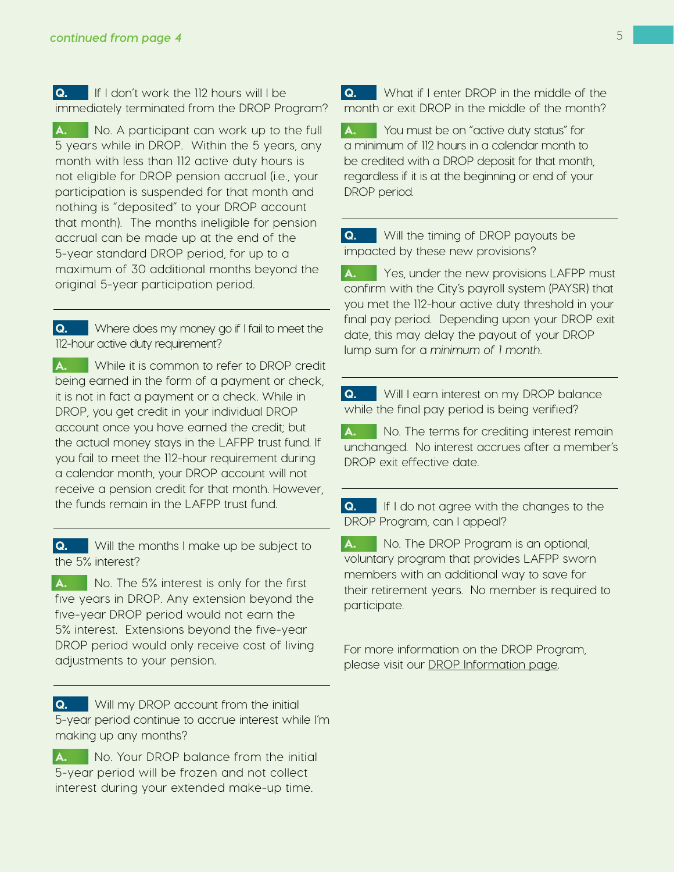Q. If I don't work the 112 hours will I be immediately terminated from the DROP Program?

A. No. A participant can work up to the full 5 years while in DROP. Within the 5 years, any month with less than 112 active duty hours is not eligible for DROP pension accrual (i.e., your participation is suspended for that month and nothing is "deposited" to your DROP account that month). The months ineligible for pension accrual can be made up at the end of the 5-year standard DROP period, for up to a maximum of 30 additional months beyond the original 5-year participation period.

Q. Where does my money go if I fail to meet the 112-hour active duty requirement?

A. While it is common to refer to DROP credit being earned in the form of a payment or check, it is not in fact a payment or a check. While in DROP, you get credit in your individual DROP account once you have earned the credit; but the actual money stays in the LAFPP trust fund. If you fail to meet the 112-hour requirement during a calendar month, your DROP account will not receive a pension credit for that month. However, the funds remain in the LAFPP trust fund.

**Q.** Will the months I make up be subject to the 5% interest?

A. No. The 5% interest is only for the first five years in DROP. Any extension beyond the five-year DROP period would not earn the 5% interest. Extensions beyond the five-year DROP period would only receive cost of living adjustments to your pension.

**Q.** Will my DROP account from the initial 5-year period continue to accrue interest while I'm making up any months?

A. No. Your DROP balance from the initial 5-year period will be frozen and not collect interest during your extended make-up time.

Q. What if I enter DROP in the middle of the month or exit DROP in the middle of the month?

A. You must be on "active duty status" for a minimum of 112 hours in a calendar month to be credited with a DROP deposit for that month, regardless if it is at the beginning or end of your DROP period.

**Q.** Will the timing of DROP payouts be impacted by these new provisions?

A. Yes, under the new provisions LAFPP must confirm with the City's payroll system (PAYSR) that you met the 112-hour active duty threshold in your final pay period. Depending upon your DROP exit date, this may delay the payout of your DROP lump sum for a *minimum of 1 month*.

Q. Will I earn interest on my DROP balance while the final pay period is being verified?

A. No. The terms for crediting interest remain unchanged. No interest accrues after a member's DROP exit effective date.

Q. If I do not agree with the changes to the DROP Program, can I appeal?

A. No. The DROP Program is an optional, voluntary program that provides LAFPP sworn members with an additional way to save for their retirement years. No member is required to participate.

For more information on the DROP Program, please visit our [DROP Information page.](https://www.lafpp.com/members/plan-details/deferred-retirement-option-plan-drop)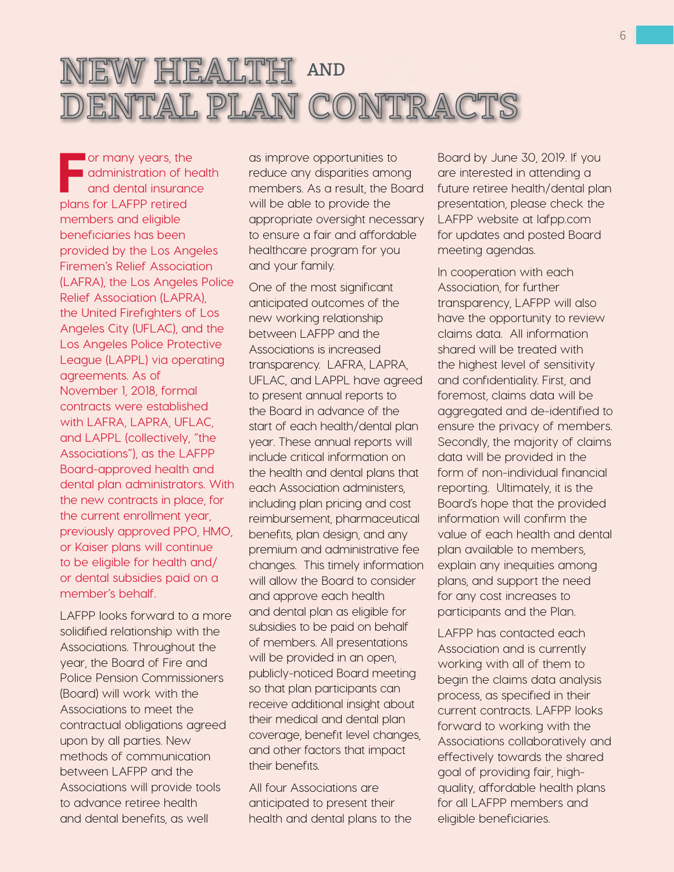

For many years, the<br>administration of he<br>and dental insurance<br>plans for LAEPP ratired administration of health and dental insurance plans for LAFPP retired members and eligible beneficiaries has been provided by the Los Angeles Firemen's Relief Association (LAFRA), the Los Angeles Police Relief Association (LAPRA), the United Firefighters of Los Angeles City (UFLAC), and the Los Angeles Police Protective League (LAPPL) via operating agreements. As of November 1, 2018, formal contracts were established with LAFRA, LAPRA, UFLAC, and LAPPL (collectively, "the Associations"), as the LAFPP Board-approved health and dental plan administrators. With the new contracts in place, for the current enrollment year, previously approved PPO, HMO, or Kaiser plans will continue to be eligible for health and/ or dental subsidies paid on a member's behalf.

LAFPP looks forward to a more solidified relationship with the Associations. Throughout the year, the Board of Fire and Police Pension Commissioners (Board) will work with the Associations to meet the contractual obligations agreed upon by all parties. New methods of communication between LAFPP and the Associations will provide tools to advance retiree health and dental benefits, as well

as improve opportunities to reduce any disparities among members. As a result, the Board will be able to provide the appropriate oversight necessary to ensure a fair and affordable healthcare program for you and your family.

One of the most significant anticipated outcomes of the new working relationship between LAFPP and the Associations is increased transparency. LAFRA, LAPRA, UFLAC, and LAPPL have agreed to present annual reports to the Board in advance of the start of each health/dental plan year. These annual reports will include critical information on the health and dental plans that each Association administers, including plan pricing and cost reimbursement, pharmaceutical benefits, plan design, and any premium and administrative fee changes. This timely information will allow the Board to consider and approve each health and dental plan as eligible for subsidies to be paid on behalf of members. All presentations will be provided in an open, publicly-noticed Board meeting so that plan participants can receive additional insight about their medical and dental plan coverage, benefit level changes, and other factors that impact their benefits.

All four Associations are anticipated to present their health and dental plans to the Board by June 30, 2019. If you are interested in attending a future retiree health/dental plan presentation, please check the LAFPP website at lafpp.com for updates and posted Board meeting agendas.

In cooperation with each Association, for further transparency, LAFPP will also have the opportunity to review claims data. All information shared will be treated with the highest level of sensitivity and confidentiality. First, and foremost, claims data will be aggregated and de-identified to ensure the privacy of members. Secondly, the majority of claims data will be provided in the form of non-individual financial reporting. Ultimately, it is the Board's hope that the provided information will confirm the value of each health and dental plan available to members, explain any inequities among plans, and support the need for any cost increases to participants and the Plan.

LAFPP has contacted each Association and is currently working with all of them to begin the claims data analysis process, as specified in their current contracts. LAFPP looks forward to working with the Associations collaboratively and effectively towards the shared goal of providing fair, highquality, affordable health plans for all LAFPP members and eligible beneficiaries.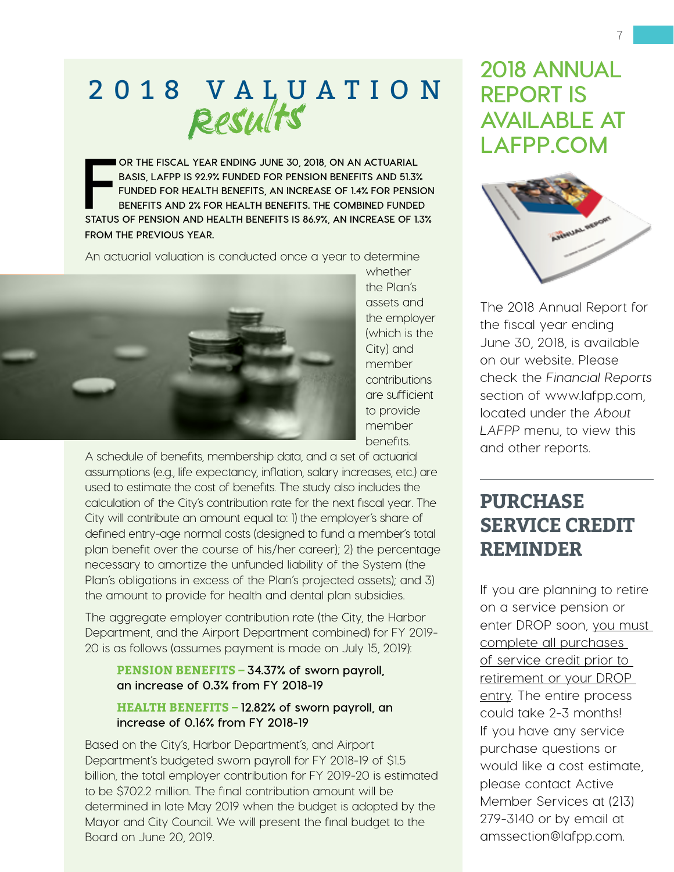# 2 0 1 8 V A L U A T I O N Results

**FRIDE OR THE FISCAL YEAR ENDING JUNE 30, 2018, ON AN ACTUARIAL BASIS, LAFPP IS 92.9% FUNDED FOR PENSION BENEFITS AND 51.3% <br>FUNDED FOR HEALTH BENEFITS, AN INCREASE OF 1.4% FOR PENSION BENEFITS AND 2% FOR HEALTH BENEFITS. OR THE FISCAL YEAR ENDING JUNE 30, 2018, ON AN ACTUARIAL BASIS, LAFPP IS 92.9% FUNDED FOR PENSION BENEFITS AND 51.3% FUNDED FOR HEALTH BENEFITS, AN INCREASE OF 1.4% FOR PENSION BENEFITS AND 2% FOR HEALTH BENEFITS. THE COMBINED FUNDED FROM THE PREVIOUS YEAR.** 

An actuarial valuation is conducted once a year to determine



whether the Plan's assets and the employer (which is the City) and member contributions are sufficient to provide member benefits.

A schedule of benefits, membership data, and a set of actuarial assumptions (e.g., life expectancy, inflation, salary increases, etc.) are used to estimate the cost of benefits. The study also includes the calculation of the City's contribution rate for the next fiscal year. The City will contribute an amount equal to: 1) the employer's share of defined entry-age normal costs (designed to fund a member's total plan benefit over the course of his/her career); 2) the percentage necessary to amortize the unfunded liability of the System (the Plan's obligations in excess of the Plan's projected assets); and 3) the amount to provide for health and dental plan subsidies.

The aggregate employer contribution rate (the City, the Harbor Department, and the Airport Department combined) for FY 2019- 20 is as follows (assumes payment is made on July 15, 2019):

### **PENSION BENEFITS – 34.37% of sworn payroll, an increase of 0.3% from FY 2018-19**

### **HEALTH BENEFITS – 12.82% of sworn payroll, an increase of 0.16% from FY 2018-19**

Based on the City's, Harbor Department's, and Airport Department's budgeted sworn payroll for FY 2018-19 of \$1.5 billion, the total employer contribution for FY 2019-20 is estimated to be \$702.2 million. The final contribution amount will be determined in late May 2019 when the budget is adopted by the Mayor and City Council. We will present the final budget to the Board on June 20, 2019.

# **2018 ANNUAL REPORT IS AVAILABLE AT LAFPP.COM**



The 2018 Annual Report for the fiscal year ending June 30, 2018, is available on our website. Please check the *Financial Reports* section of www.lafpp.com, located under the *About LAFPP* menu, to view this and other reports.

# **PURCHASE SERVICE CREDIT REMINDER**

If you are planning to retire on a service pension or enter DROP soon, you must complete all purchases of service credit prior to retirement or your DROP entry. The entire process could take 2-3 months! If you have any service purchase questions or would like a cost estimate, please contact Active Member Services at (213) 279-3140 or by email at amssection@lafpp.com.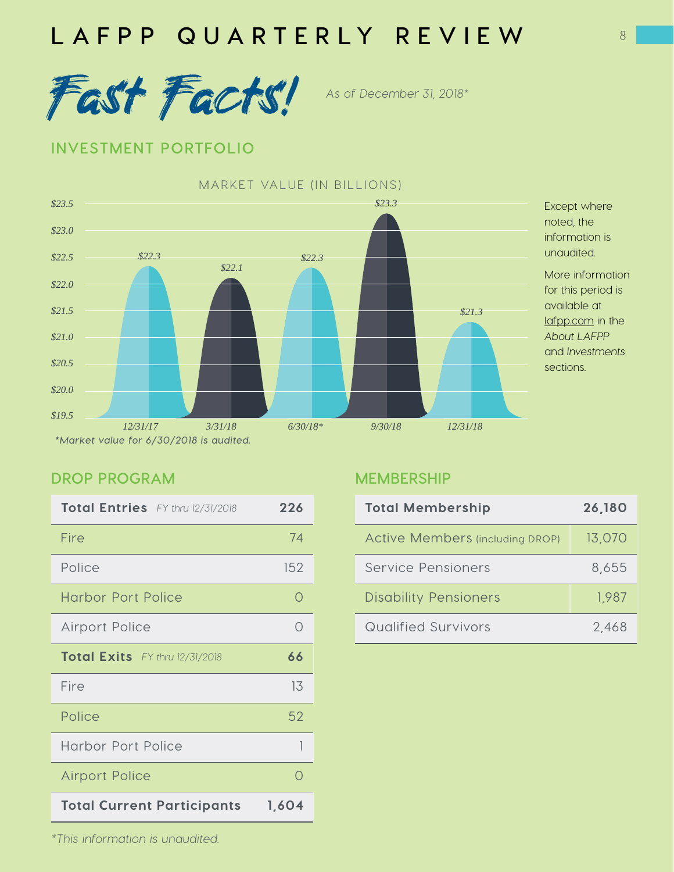



### **INVESTMENT PORTFOLIO**



### **DROP PROGRAM**

| Total Entries FY thru 12/31/2018           | 226 |
|--------------------------------------------|-----|
| Fire                                       | 74  |
| Police                                     | 152 |
| <b>Harbor Port Police</b>                  | ∩   |
| <b>Airport Police</b>                      | ∩   |
| Total Exits FY thru 12/31/2018             | 66  |
| Fire                                       | 13  |
| Police                                     | 52  |
| <b>Harbor Port Police</b>                  | 1   |
| <b>Airport Police</b>                      | ∩   |
| <b>Total Current Participants</b><br>1,604 |     |

### **MEMBERSHIP**

| <b>Total Membership</b>                | 26,180 |
|----------------------------------------|--------|
| <b>Active Members (including DROP)</b> | 13,070 |
| Service Pensioners                     | 8,655  |
| <b>Disability Pensioners</b>           | 1,987  |
| <b>Qualified Survivors</b>             | 2.468  |

*\*This information is unaudited.*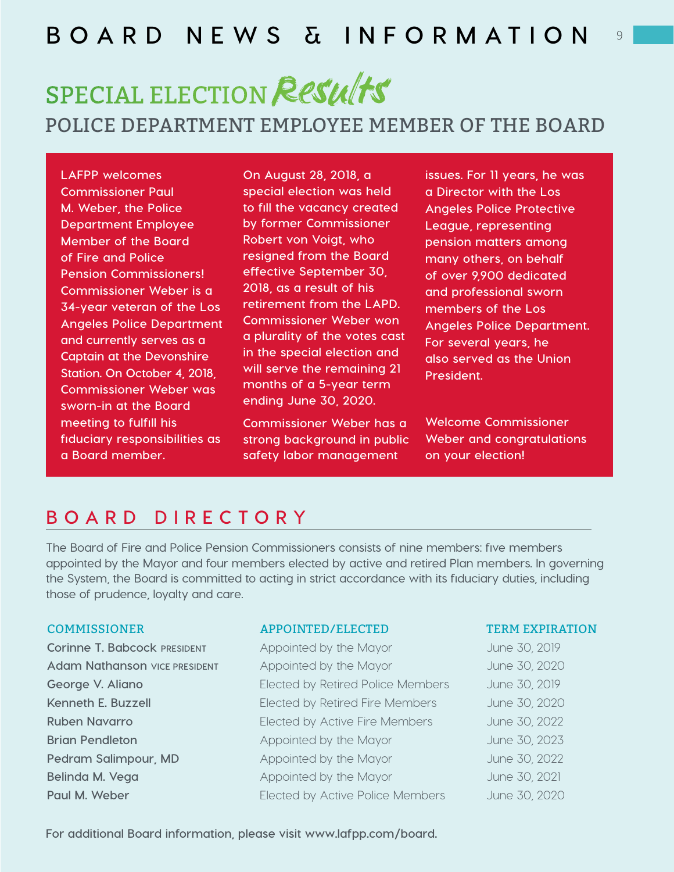# **BOARD NEWS & INFORMATION**

# SPECIAL ELECTION Results

### POLICE DEPARTMENT EMPLOYEE MEMBER OF THE BOARD

**LAFPP welcomes Commissioner Paul M. Weber, the Police Department Employee Member of the Board of Fire and Police Pension Commissioners! Commissioner Weber is a 34-year veteran of the Los Angeles Police Department and currently serves as a Captain at the Devonshire Station. On October 4, 2018, Commissioner Weber was sworn-in at the Board meeting to fulfill his fiduciary responsibilities as a Board member.**

**On August 28, 2018, a special election was held to fill the vacancy created by former Commissioner Robert von Voigt, who resigned from the Board effective September 30, 2018, as a result of his retirement from the LAPD. Commissioner Weber won a plurality of the votes cast in the special election and will serve the remaining 21 months of a 5-year term ending June 30, 2020.**

**Commissioner Weber has a strong background in public safety labor management** 

**issues. For 11 years, he was a Director with the Los Angeles Police Protective League, representing pension matters among many others, on behalf of over 9,900 dedicated and professional sworn members of the Los Angeles Police Department. For several years, he also served as the Union President.**

9

**Welcome Commissioner Weber and congratulations on your election!**

### **BOARD DIRECTORY**

**The Board of Fire and Police Pension Commissioners consists of nine members: five members appointed by the Mayor and four members elected by active and retired Plan members. In governing the System, the Board is committed to acting in strict accordance with its fiduciary duties, including those of prudence, loyalty and care.** 

#### COMMISSIONER APPOINTED/ELECTED TERM EXPIRATION

**Corinne T. Babcock PRESIDENT** Appointed by the Mayor June 30, 2019 Adam Nathanson vice PRESIDENT Appointed by the Mayor June 30, 2020 **George V. Aliano** Elected by Retired Police Members June 30, 2019 **Kenneth E. Buzzell** Elected by Retired Fire Members June 30, 2020 **Ruben Navarro Elected by Active Fire Members** June 30, 2022 **Brian Pendleton Appointed by the Mayor June 30, 2023 Pedram Salimpour, MD** Appointed by the Mayor June 30, 2022 **Belinda M. Vega** Appointed by the Mayor Appointed by the Mayor June 30, 2021 **Paul M. Weber Elected by Active Police Members** June 30, 2020

**For additional Board information, please visit www.lafpp.com/board.**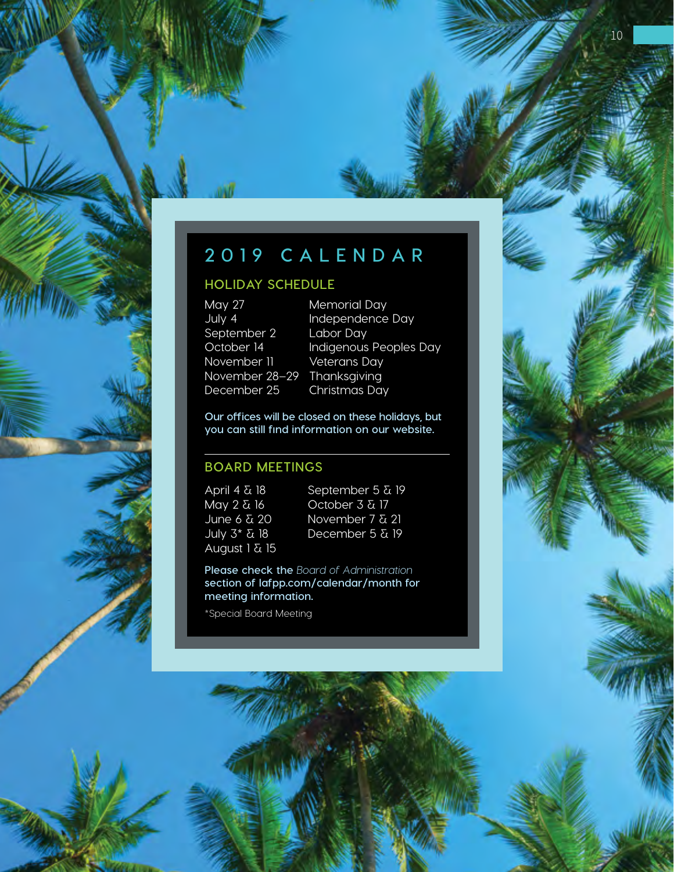# **2019 CALENDAR**

### **HOLIDAY SCHEDULE**

May 27 Memorial Day September 2 Labor Day November 11 Veterans Day November 28–29 Thanksgiving December 25 Christmas Day

July 4 Independence Day October 14 Indigenous Peoples Day

**Our offices will be closed on these holidays, but you can still find information on our website.**

### **BOARD MEETINGS**

April 4 & 18 May 2 & 16 June 6 & 20 July 3\* & 18 August 1 & 15

September 5 & 19 October 3 & 17 November 7 & 21 December 5 & 19

**Please check the** *Board of Administration* **section of lafpp.com/calendar/month for meeting information.** 

\*Special Board Meeting



10